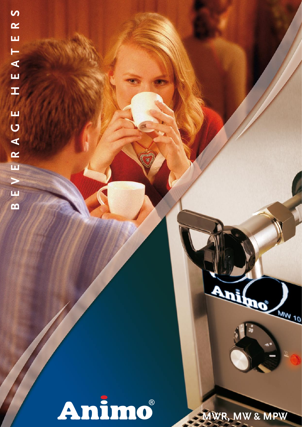Animo

**MWR, MW & MPW**

Ani Com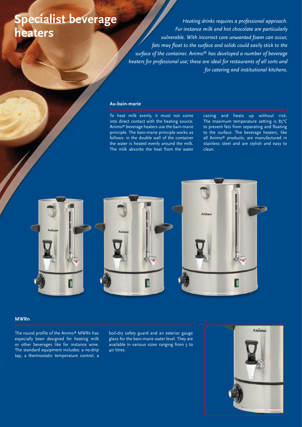# **Specialist beverage heaters**

*Heating drinks requires a professional approach. For instance milk and hot chocolate are particularly vulnerable. With incorrect care unwanted foam can occur, fats may float to the surface and solids could easily stick to the surface of the container. Animo® has developed a number of beverage heaters for professional use; these are ideal for restaurants of all sorts and for catering and institutional kitchens.*

#### **Au-bain-marie**

To heat milk evenly, it must not come into direct contact with the heating source. Animo® beverage heaters use the bain-marie principle. The bain-marie principle works as follows: in the double wall of the container the water is heated evenly around the milk. The milk absorbs the heat from the water casing and heats up without risk. The maximum temperature setting is 85°C to prevent fats from separating and floating to the surface. The beverage heaters, like all Animo® products, are manufactured in stainless steel and are stylish and easy to clean.



#### **MWRn**

The round profile of the Animo® MWRn has especially been designed for heating milk or other beverages like for instance wine. The standard equipment includes: a no-drip tap, a thermostatic temperature control, a boil-dry safety guard and an exterior gauge glass for the bain-marie water level. They are available in various sizes ranging from 5 to 40 litres.

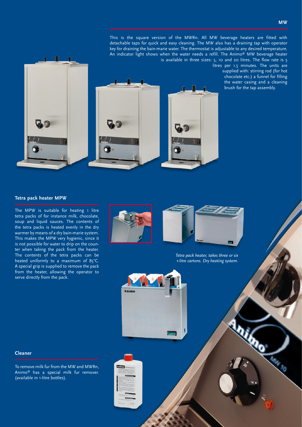litres per 1.5 minutes. The units are supplied with: stirring rod (for hot chocolate etc.) a funnel for filling the water casing and a cleaning brush for the tap assembly.



 $\blacksquare$ 

#### **Tetra pack heater MPW**

The MPW is suitable for heating 1 litre tetra packs of for instance milk, chocolate, soup and liquid sauces. The contents of the tetra packs is heated evenly in the dry warmer by means of a dry bain-marie system. This makes the MPW very hygienic, since it is not possible for water to drip on the counter when taking the pack from the heater. The contents of the tetra packs can be heated uniformly to a maximum of 85°C. A special grip is supplied to remove the pack from the heater, allowing the operator to serve directly from the pack.



*Tetra pack heater, takes three or six 1-litre cartons. Dry heating system.* 



To remove milk fur from the MW and MWRn, Animo® has a special milk fur remover. (available in 1-litre bottles).



Animo